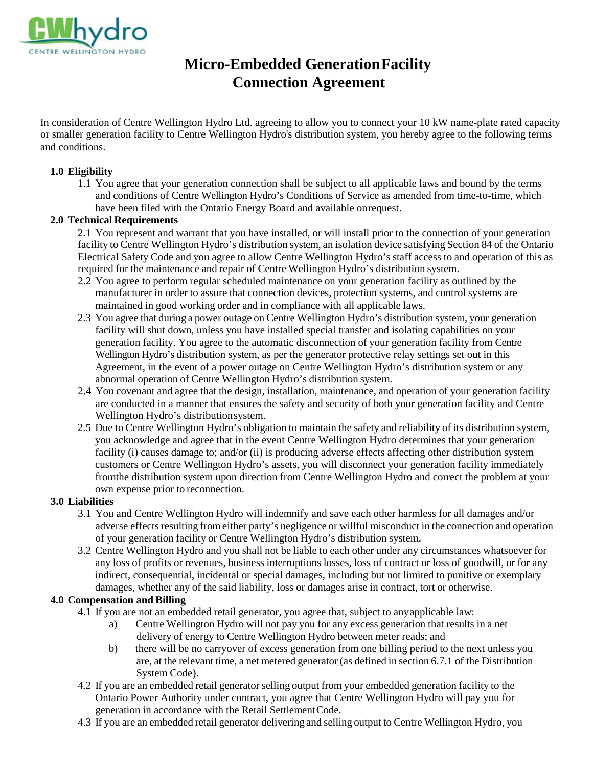

# **Micro-Embedded Generation Facility Connection Agreement**

In consideration of Centre Wellington Hydro Ltd. agreeing to allow you to connect your 10 kW name-plate rated capacity or smaller generation facility to Centre Wellington Hydro's distribution system, you hereby agree to the following terms and conditions.

#### **1.0 Eligibility**

1.1 You agree that your generation connection shall be subject to all applicable laws and bound by the terms and conditions of Centre Wellington Hydro's Conditions of Service as amended from time-to-time, which have been filed with the Ontario Energy Board and available on request.

#### **2.0 Technical Requirements**

2.1 You represent and warrant that you have installed, or will install prior to the connection of your generation facility to Centre Wellington Hydro's distribution system, an isolation device satisfying Section 84 of the Ontario Electrical Safety Code and you agree to allow Centre Wellington Hydro's staff access to and operation of this as required for the maintenance and repair of Centre Wellington Hydro's distribution system.

- 2.2 You agree to perform regular scheduled maintenance on your generation facility as outlined by the manufacturer in order to assure that connection devices, protection systems, and control systems are maintained in good working order and in compliance with all applicable laws.
- 2.3 You agree that during a power outage on Centre Wellington Hydro's distribution system, your generation facility will shut down, unless you have installed special transfer and isolating capabilities on your generation facility. You agree to the automatic disconnection of your generation facility from Centre Wellington Hydro's distribution system, as per the generator protective relay settings set out in this Agreement, in the event of a power outage on Centre Wellington Hydro's distribution system or any abnormal operation of Centre Wellington Hydro's distribution system.
- 2.4 You covenant and agree that the design, installation, maintenance, and operation of your generation facility are conducted in a manner that ensures the safety and security of both your generation facility and Centre Wellington Hydro's distributionsystem.
- 2.5 Due to Centre Wellington Hydro's obligation to maintain the safety and reliability of its distribution system, you acknowledge and agree that in the event Centre Wellington Hydro determines that your generation facility (i) causes damage to; and/or (ii) is producing adverse effects affecting other distribution system customers or Centre Wellington Hydro's assets, you will disconnect your generation facility immediately fromthe distribution system upon direction from Centre Wellington Hydro and correct the problem at your own expense prior to reconnection.

#### **3.0 Liabilities**

- 3.1 You and Centre Wellington Hydro will indemnify and save each other harmless for all damages and/or adverse effects resulting from either party's negligence or willful misconduct in the connection and operation of your generation facility or Centre Wellington Hydro's distribution system.
- 3.2 Centre Wellington Hydro and you shall not be liable to each other under any circumstances whatsoever for any loss of profits or revenues, business interruptions losses, loss of contract or loss of goodwill, or for any indirect, consequential, incidental or special damages, including but not limited to punitive or exemplary damages, whether any of the said liability, loss or damages arise in contract, tort or otherwise.

### **4.0 Compensation and Billing**

- 4.1 If you are not an embedded retail generator, you agree that, subject to anyapplicable law:
	- a) Centre Wellington Hydro will not pay you for any excess generation that results in a net delivery of energy to Centre Wellington Hydro between meter reads; and
	- b) there will be no carryover of excess generation from one billing period to the next unless you are, at the relevant time, a net metered generator (as defined in section 6.7.1 of the Distribution System Code).
- 4.2 If you are an embedded retail generator selling output from your embedded generation facility to the Ontario Power Authority under contract, you agree that Centre Wellington Hydro will pay you for generation in accordance with the Retail SettlementCode.
- 4.3 If you are an embedded retail generator delivering and selling output to Centre Wellington Hydro, you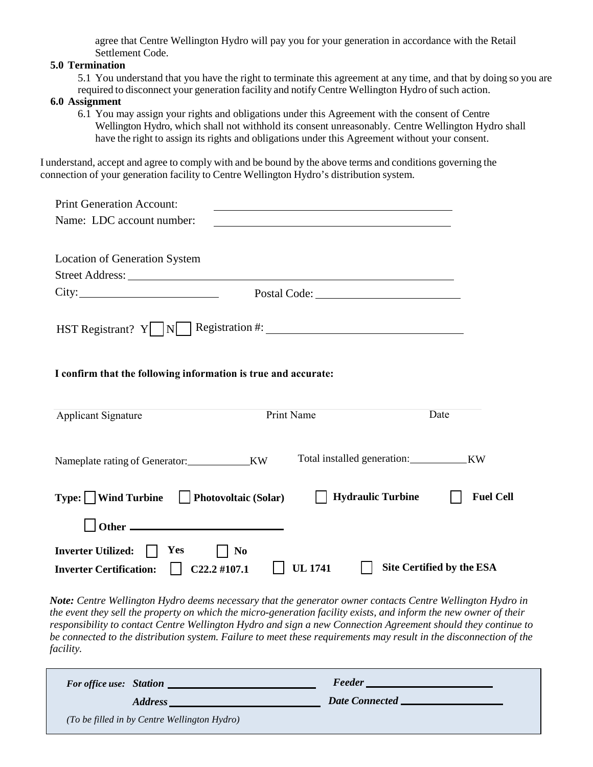agree that Centre Wellington Hydro will pay you for your generation in accordance with the Retail Settlement Code.

#### **5.0 Termination**

5.1 You understand that you have the right to terminate this agreement at any time, and that by doing so you are required to disconnect your generation facility and notifyCentre Wellington Hydro of such action.

#### **6.0 Assignment**

6.1 You may assign your rights and obligations under this Agreement with the consent of Centre Wellington Hydro, which shall not withhold its consent unreasonably. Centre Wellington Hydro shall have the right to assign its rights and obligations under this Agreement without your consent.

I understand, accept and agree to comply with and be bound by the above terms and conditions governing the connection of your generation facility to Centre Wellington Hydro's distribution system.

| <b>Print Generation Account:</b>                               |              |                                              |  |
|----------------------------------------------------------------|--------------|----------------------------------------------|--|
| Name: LDC account number:                                      |              |                                              |  |
|                                                                |              |                                              |  |
| <b>Location of Generation System</b>                           |              |                                              |  |
|                                                                |              |                                              |  |
| City:                                                          | Postal Code: |                                              |  |
|                                                                |              |                                              |  |
| HST Registrant? $Y \cup N$ Registration #:                     |              |                                              |  |
|                                                                |              |                                              |  |
| I confirm that the following information is true and accurate: |              |                                              |  |
|                                                                |              |                                              |  |
| Applicant Signature                                            | Print Name   | Date                                         |  |
|                                                                |              |                                              |  |
|                                                                |              |                                              |  |
| Nameplate rating of Generator:_____________KW                  |              | Total installed generation:<br><b>KW</b>     |  |
|                                                                |              |                                              |  |
| $Type: \Box$ Wind Turbine $\Box$ Photovoltaic (Solar)          |              | <b>Hydraulic Turbine</b><br><b>Fuel Cell</b> |  |
|                                                                |              |                                              |  |
|                                                                |              |                                              |  |
| Inverter Utilized:    <br>Yes<br>N <sub>0</sub>                |              |                                              |  |

*Note: Centre Wellington Hydro deems necessary that the generator owner contacts Centre Wellington Hydro in the event they sell the property on which the micro-generation facility exists, and inform the new owner of their responsibility to contact Centre Wellington Hydro and sign a new Connection Agreement should they continue to be connected to the distribution system. Failure to meet these requirements may result in the disconnection of the facility.*

| <b>For office use: Station</b>               | <b>Feeder</b>         |
|----------------------------------------------|-----------------------|
| Address                                      | <b>Date Connected</b> |
| (To be filled in by Centre Wellington Hydro) |                       |